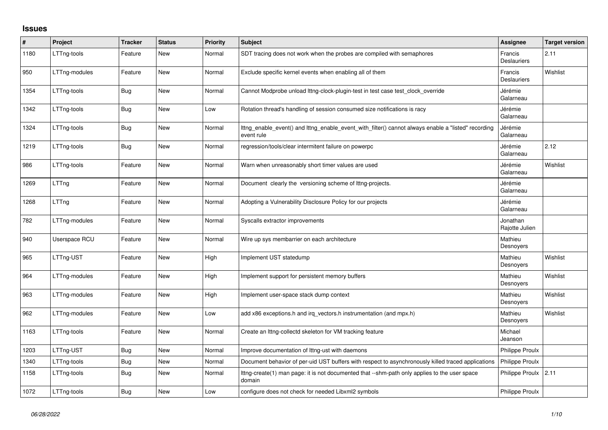## **Issues**

| $\vert$ # | Project       | <b>Tracker</b> | <b>Status</b> | <b>Priority</b> | <b>Subject</b>                                                                                                    | Assignee                      | <b>Target version</b> |
|-----------|---------------|----------------|---------------|-----------------|-------------------------------------------------------------------------------------------------------------------|-------------------------------|-----------------------|
| 1180      | LTTng-tools   | Feature        | New           | Normal          | SDT tracing does not work when the probes are compiled with semaphores                                            | Francis<br><b>Deslauriers</b> | 2.11                  |
| 950       | LTTng-modules | Feature        | New           | Normal          | Exclude specific kernel events when enabling all of them                                                          | Francis<br><b>Deslauriers</b> | Wishlist              |
| 1354      | LTTng-tools   | Bug            | New           | Normal          | Cannot Modprobe unload lttng-clock-plugin-test in test case test_clock_override                                   | Jérémie<br>Galarneau          |                       |
| 1342      | LTTng-tools   | <b>Bug</b>     | New           | Low             | Rotation thread's handling of session consumed size notifications is racy                                         | Jérémie<br>Galarneau          |                       |
| 1324      | LTTng-tools   | <b>Bug</b>     | New           | Normal          | Ittng_enable_event() and lttng_enable_event_with_filter() cannot always enable a "listed" recording<br>event rule | Jérémie<br>Galarneau          |                       |
| 1219      | LTTng-tools   | <b>Bug</b>     | New           | Normal          | regression/tools/clear intermitent failure on powerpc                                                             | Jérémie<br>Galarneau          | 2.12                  |
| 986       | LTTng-tools   | Feature        | New           | Normal          | Warn when unreasonably short timer values are used                                                                | Jérémie<br>Galarneau          | Wishlist              |
| 1269      | LTTng         | Feature        | <b>New</b>    | Normal          | Document clearly the versioning scheme of lttng-projects.                                                         | Jérémie<br>Galarneau          |                       |
| 1268      | LTTng         | Feature        | <b>New</b>    | Normal          | Adopting a Vulnerability Disclosure Policy for our projects                                                       | Jérémie<br>Galarneau          |                       |
| 782       | LTTng-modules | Feature        | New           | Normal          | Syscalls extractor improvements                                                                                   | Jonathan<br>Rajotte Julien    |                       |
| 940       | Userspace RCU | Feature        | New           | Normal          | Wire up sys membarrier on each architecture                                                                       | Mathieu<br>Desnoyers          |                       |
| 965       | LTTng-UST     | Feature        | New           | High            | Implement UST statedump                                                                                           | Mathieu<br>Desnoyers          | Wishlist              |
| 964       | LTTng-modules | Feature        | New           | High            | Implement support for persistent memory buffers                                                                   | Mathieu<br>Desnoyers          | Wishlist              |
| 963       | LTTng-modules | Feature        | New           | High            | Implement user-space stack dump context                                                                           | Mathieu<br>Desnoyers          | Wishlist              |
| 962       | LTTng-modules | Feature        | New           | Low             | add x86 exceptions.h and irg vectors.h instrumentation (and mpx.h)                                                | Mathieu<br>Desnoyers          | Wishlist              |
| 1163      | LTTng-tools   | Feature        | New           | Normal          | Create an Ittng-collectd skeleton for VM tracking feature                                                         | Michael<br>Jeanson            |                       |
| 1203      | LTTng-UST     | Bug            | New           | Normal          | Improve documentation of Ittng-ust with daemons                                                                   | Philippe Proulx               |                       |
| 1340      | LTTng-tools   | <b>Bug</b>     | New           | Normal          | Document behavior of per-uid UST buffers with respect to asynchronously killed traced applications                | <b>Philippe Proulx</b>        |                       |
| 1158      | LTTng-tools   | Bug            | New           | Normal          | Ittng-create(1) man page: it is not documented that --shm-path only applies to the user space<br>domain           | Philippe Proulx 2.11          |                       |
| 1072      | LTTng-tools   | Bug            | New           | Low             | configure does not check for needed Libxml2 symbols                                                               | Philippe Proulx               |                       |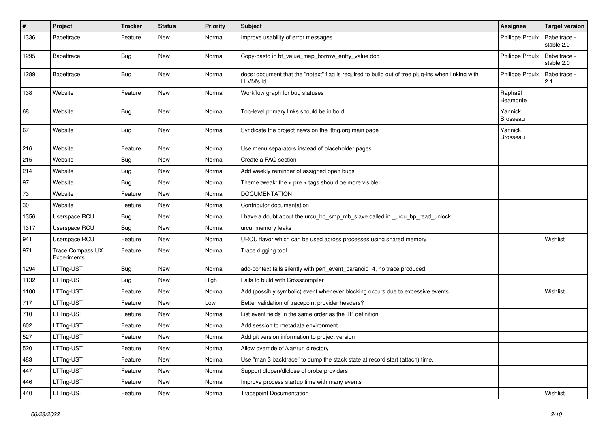| $\pmb{\#}$ | Project                                | <b>Tracker</b> | <b>Status</b> | <b>Priority</b> | <b>Subject</b>                                                                                                 | <b>Assignee</b>            | <b>Target version</b>      |
|------------|----------------------------------------|----------------|---------------|-----------------|----------------------------------------------------------------------------------------------------------------|----------------------------|----------------------------|
| 1336       | <b>Babeltrace</b>                      | Feature        | New           | Normal          | Improve usability of error messages                                                                            | <b>Philippe Proulx</b>     | Babeltrace -<br>stable 2.0 |
| 1295       | Babeltrace                             | Bug            | New           | Normal          | Copy-pasto in bt_value_map_borrow_entry_value doc                                                              | <b>Philippe Proulx</b>     | Babeltrace -<br>stable 2.0 |
| 1289       | <b>Babeltrace</b>                      | <b>Bug</b>     | New           | Normal          | docs: document that the "notext" flag is required to build out of tree plug-ins when linking with<br>LLVM's Id | <b>Philippe Proulx</b>     | Babeltrace -<br>2.1        |
| 138        | Website                                | Feature        | New           | Normal          | Workflow graph for bug statuses                                                                                | Raphaël<br>Beamonte        |                            |
| 68         | Website                                | Bug            | New           | Normal          | Top-level primary links should be in bold                                                                      | Yannick<br><b>Brosseau</b> |                            |
| 67         | Website                                | Bug            | New           | Normal          | Syndicate the project news on the lttng.org main page                                                          | Yannick<br><b>Brosseau</b> |                            |
| 216        | Website                                | Feature        | New           | Normal          | Use menu separators instead of placeholder pages                                                               |                            |                            |
| 215        | Website                                | <b>Bug</b>     | New           | Normal          | Create a FAQ section                                                                                           |                            |                            |
| 214        | Website                                | <b>Bug</b>     | New           | Normal          | Add weekly reminder of assigned open bugs                                                                      |                            |                            |
| 97         | Website                                | Bug            | New           | Normal          | Theme tweak: the $<$ pre $>$ tags should be more visible                                                       |                            |                            |
| 73         | Website                                | Feature        | New           | Normal          | DOCUMENTATION!                                                                                                 |                            |                            |
| $30\,$     | Website                                | Feature        | New           | Normal          | Contributor documentation                                                                                      |                            |                            |
| 1356       | Userspace RCU                          | <b>Bug</b>     | New           | Normal          | I have a doubt about the urcu_bp_smp_mb_slave called in _urcu_bp_read_unlock.                                  |                            |                            |
| 1317       | Userspace RCU                          | <b>Bug</b>     | New           | Normal          | urcu: memory leaks                                                                                             |                            |                            |
| 941        | Userspace RCU                          | Feature        | New           | Normal          | URCU flavor which can be used across processes using shared memory                                             |                            | Wishlist                   |
| 971        | <b>Trace Compass UX</b><br>Experiments | Feature        | New           | Normal          | Trace digging tool                                                                                             |                            |                            |
| 1294       | LTTng-UST                              | <b>Bug</b>     | New           | Normal          | add-context fails silently with perf_event_paranoid=4, no trace produced                                       |                            |                            |
| 1132       | LTTng-UST                              | Bug            | New           | High            | Fails to build with Crosscompiler                                                                              |                            |                            |
| 1100       | LTTng-UST                              | Feature        | New           | Normal          | Add (possibly symbolic) event whenever blocking occurs due to excessive events                                 |                            | Wishlist                   |
| 717        | LTTng-UST                              | Feature        | New           | Low             | Better validation of tracepoint provider headers?                                                              |                            |                            |
| 710        | LTTng-UST                              | Feature        | New           | Normal          | List event fields in the same order as the TP definition                                                       |                            |                            |
| 602        | LTTng-UST                              | Feature        | New           | Normal          | Add session to metadata environment                                                                            |                            |                            |
| 527        | LTTng-UST                              | Feature        | New           | Normal          | Add git version information to project version                                                                 |                            |                            |
| 520        | LTTng-UST                              | Feature        | New           | Normal          | Allow override of /var/run directory                                                                           |                            |                            |
| 483        | LTTng-UST                              | Feature        | New           | Normal          | Use "man 3 backtrace" to dump the stack state at record start (attach) time.                                   |                            |                            |
| 447        | LTTng-UST                              | Feature        | New           | Normal          | Support dlopen/dlclose of probe providers                                                                      |                            |                            |
| 446        | LTTng-UST                              | Feature        | New           | Normal          | Improve process startup time with many events                                                                  |                            |                            |
| 440        | LTTng-UST                              | Feature        | New           | Normal          | <b>Tracepoint Documentation</b>                                                                                |                            | Wishlist                   |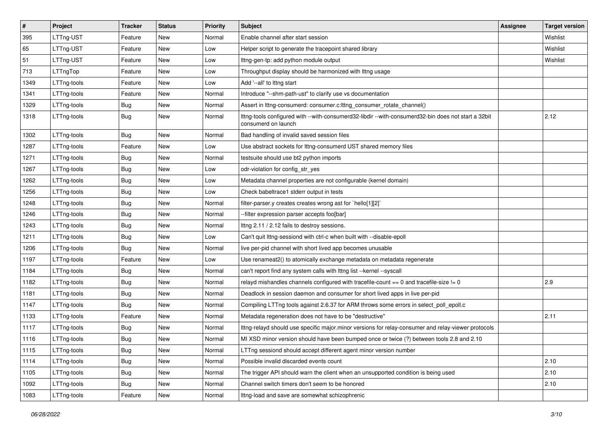| $\vert$ # | Project     | <b>Tracker</b> | <b>Status</b> | <b>Priority</b> | <b>Subject</b>                                                                                                             | Assignee | <b>Target version</b> |
|-----------|-------------|----------------|---------------|-----------------|----------------------------------------------------------------------------------------------------------------------------|----------|-----------------------|
| 395       | LTTng-UST   | Feature        | New           | Normal          | Enable channel after start session                                                                                         |          | Wishlist              |
| 65        | LTTng-UST   | Feature        | New           | Low             | Helper script to generate the tracepoint shared library                                                                    |          | Wishlist              |
| 51        | LTTng-UST   | Feature        | New           | Low             | Ittng-gen-tp: add python module output                                                                                     |          | Wishlist              |
| 713       | LTTngTop    | Feature        | New           | Low             | Throughput display should be harmonized with lttng usage                                                                   |          |                       |
| 1349      | LTTng-tools | Feature        | New           | Low             | Add '--all' to lttng start                                                                                                 |          |                       |
| 1341      | LTTng-tools | Feature        | New           | Normal          | Introduce "--shm-path-ust" to clarify use vs documentation                                                                 |          |                       |
| 1329      | LTTng-tools | <b>Bug</b>     | New           | Normal          | Assert in lttng-consumerd: consumer.c: lttng_consumer_rotate_channel()                                                     |          |                       |
| 1318      | LTTng-tools | <b>Bug</b>     | New           | Normal          | Ittng-tools configured with --with-consumerd32-libdir --with-consumerd32-bin does not start a 32bit<br>consumerd on launch |          | 2.12                  |
| 1302      | LTTng-tools | Bug            | New           | Normal          | Bad handling of invalid saved session files                                                                                |          |                       |
| 1287      | LTTng-tools | Feature        | New           | Low             | Use abstract sockets for Ittng-consumerd UST shared memory files                                                           |          |                       |
| 1271      | LTTng-tools | <b>Bug</b>     | New           | Normal          | testsuite should use bt2 python imports                                                                                    |          |                       |
| 1267      | LTTng-tools | Bug            | New           | Low             | odr-violation for config_str_yes                                                                                           |          |                       |
| 1262      | LTTng-tools | Bug            | New           | Low             | Metadata channel properties are not configurable (kernel domain)                                                           |          |                       |
| 1256      | LTTng-tools | Bug            | New           | Low             | Check babeltrace1 stderr output in tests                                                                                   |          |                       |
| 1248      | LTTng-tools | <b>Bug</b>     | New           | Normal          | filter-parser.y creates creates wrong ast for `hello[1][2]`                                                                |          |                       |
| 1246      | LTTng-tools | <b>Bug</b>     | New           | Normal          | -filter expression parser accepts foo[bar]                                                                                 |          |                       |
| 1243      | LTTng-tools | Bug            | New           | Normal          | Ittng 2.11 / 2.12 fails to destroy sessions.                                                                               |          |                       |
| 1211      | LTTng-tools | <b>Bug</b>     | New           | Low             | Can't quit lttng-sessiond with ctrl-c when built with --disable-epoll                                                      |          |                       |
| 1206      | LTTng-tools | Bug            | New           | Normal          | live per-pid channel with short lived app becomes unusable                                                                 |          |                       |
| 1197      | LTTng-tools | Feature        | New           | Low             | Use renameat2() to atomically exchange metadata on metadata regenerate                                                     |          |                       |
| 1184      | LTTng-tools | <b>Bug</b>     | New           | Normal          | can't report find any system calls with lttng list --kernel --syscall                                                      |          |                       |
| 1182      | LTTng-tools | <b>Bug</b>     | New           | Normal          | relayd mishandles channels configured with tracefile-count == 0 and tracefile-size != 0                                    |          | 2.9                   |
| 1181      | LTTng-tools | <b>Bug</b>     | New           | Normal          | Deadlock in session daemon and consumer for short lived apps in live per-pid                                               |          |                       |
| 1147      | LTTng-tools | Bug            | New           | Normal          | Compiling LTTng tools against 2.6.37 for ARM throws some errors in select_poll_epoll.c                                     |          |                       |
| 1133      | LTTng-tools | Feature        | New           | Normal          | Metadata regeneration does not have to be "destructive"                                                                    |          | 2.11                  |
| 1117      | LTTng-tools | Bug            | New           | Normal          | Ittng-relayd should use specific major.minor versions for relay-consumer and relay-viewer protocols                        |          |                       |
| 1116      | LTTng-tools | <b>Bug</b>     | New           | Normal          | MI XSD minor version should have been bumped once or twice (?) between tools 2.8 and 2.10                                  |          |                       |
| 1115      | LTTng-tools | <b>Bug</b>     | New           | Normal          | LTTng sessiond should accept different agent minor version number                                                          |          |                       |
| 1114      | LTTng-tools | <b>Bug</b>     | New           | Normal          | Possible invalid discarded events count                                                                                    |          | 2.10                  |
| 1105      | LTTng-tools | Bug            | New           | Normal          | The trigger API should warn the client when an unsupported condition is being used                                         |          | 2.10                  |
| 1092      | LTTng-tools | <b>Bug</b>     | New           | Normal          | Channel switch timers don't seem to be honored                                                                             |          | 2.10                  |
| 1083      | LTTng-tools | Feature        | New           | Normal          | Ittng-load and save are somewhat schizophrenic                                                                             |          |                       |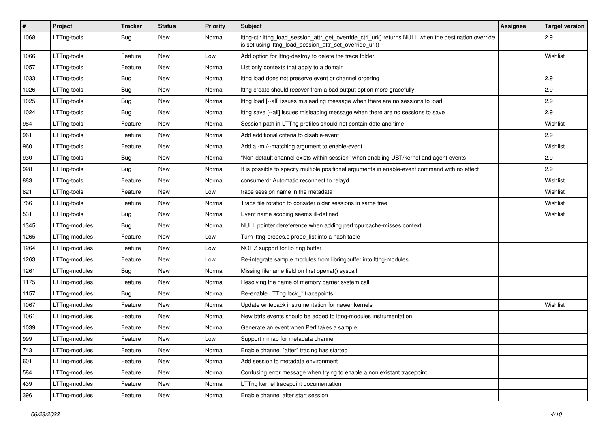| $\#$ | Project       | <b>Tracker</b> | <b>Status</b> | <b>Priority</b> | Subject                                                                                                                                                          | Assignee | <b>Target version</b> |
|------|---------------|----------------|---------------|-----------------|------------------------------------------------------------------------------------------------------------------------------------------------------------------|----------|-----------------------|
| 1068 | LTTng-tools   | Bug            | New           | Normal          | lttng-ctl: lttng_load_session_attr_get_override_ctrl_url() returns NULL when the destination override<br>is set using lttng_load_session_attr_set_override_url() |          | 2.9                   |
| 1066 | LTTng-tools   | Feature        | New           | Low             | Add option for Ittng-destroy to delete the trace folder                                                                                                          |          | Wishlist              |
| 1057 | LTTng-tools   | Feature        | New           | Normal          | List only contexts that apply to a domain                                                                                                                        |          |                       |
| 1033 | LTTng-tools   | Bug            | New           | Normal          | Ittng load does not preserve event or channel ordering                                                                                                           |          | 2.9                   |
| 1026 | LTTng-tools   | Bug            | New           | Normal          | Ittng create should recover from a bad output option more gracefully                                                                                             |          | 2.9                   |
| 1025 | LTTng-tools   | <b>Bug</b>     | New           | Normal          | Ittng load [--all] issues misleading message when there are no sessions to load                                                                                  |          | 2.9                   |
| 1024 | LTTng-tools   | Bug            | New           | Normal          | Ittng save [--all] issues misleading message when there are no sessions to save                                                                                  |          | 2.9                   |
| 984  | LTTng-tools   | Feature        | New           | Normal          | Session path in LTTng profiles should not contain date and time                                                                                                  |          | Wishlist              |
| 961  | LTTng-tools   | Feature        | New           | Normal          | Add additional criteria to disable-event                                                                                                                         |          | 2.9                   |
| 960  | LTTng-tools   | Feature        | New           | Normal          | Add a -m /--matching argument to enable-event                                                                                                                    |          | Wishlist              |
| 930  | LTTng-tools   | Bug            | New           | Normal          | "Non-default channel exists within session" when enabling UST/kernel and agent events                                                                            |          | 2.9                   |
| 928  | LTTng-tools   | <b>Bug</b>     | New           | Normal          | It is possible to specify multiple positional arguments in enable-event command with no effect                                                                   |          | 2.9                   |
| 883  | LTTng-tools   | Feature        | New           | Normal          | consumerd: Automatic reconnect to relayd                                                                                                                         |          | Wishlist              |
| 821  | LTTng-tools   | Feature        | New           | Low             | trace session name in the metadata                                                                                                                               |          | Wishlist              |
| 766  | LTTng-tools   | Feature        | New           | Normal          | Trace file rotation to consider older sessions in same tree                                                                                                      |          | Wishlist              |
| 531  | LTTng-tools   | <b>Bug</b>     | New           | Normal          | Event name scoping seems ill-defined                                                                                                                             |          | Wishlist              |
| 1345 | LTTng-modules | Bug            | New           | Normal          | NULL pointer dereference when adding perf:cpu:cache-misses context                                                                                               |          |                       |
| 1265 | LTTng-modules | Feature        | New           | Low             | Turn lttng-probes.c probe_list into a hash table                                                                                                                 |          |                       |
| 1264 | LTTng-modules | Feature        | New           | Low             | NOHZ support for lib ring buffer                                                                                                                                 |          |                       |
| 1263 | LTTng-modules | Feature        | New           | Low             | Re-integrate sample modules from libringbuffer into Ittng-modules                                                                                                |          |                       |
| 1261 | LTTng-modules | Bug            | New           | Normal          | Missing filename field on first openat() syscall                                                                                                                 |          |                       |
| 1175 | LTTng-modules | Feature        | New           | Normal          | Resolving the name of memory barrier system call                                                                                                                 |          |                       |
| 1157 | LTTng-modules | Bug            | New           | Normal          | Re-enable LTTng lock * tracepoints                                                                                                                               |          |                       |
| 1067 | LTTng-modules | Feature        | New           | Normal          | Update writeback instrumentation for newer kernels                                                                                                               |          | Wishlist              |
| 1061 | LTTng-modules | Feature        | New           | Normal          | New btrfs events should be added to Ittng-modules instrumentation                                                                                                |          |                       |
| 1039 | LTTng-modules | Feature        | New           | Normal          | Generate an event when Perf takes a sample                                                                                                                       |          |                       |
| 999  | LTTng-modules | Feature        | New           | Low             | Support mmap for metadata channel                                                                                                                                |          |                       |
| 743  | LTTng-modules | Feature        | New           | Normal          | Enable channel *after* tracing has started                                                                                                                       |          |                       |
| 601  | LTTng-modules | Feature        | New           | Normal          | Add session to metadata environment                                                                                                                              |          |                       |
| 584  | LTTng-modules | Feature        | New           | Normal          | Confusing error message when trying to enable a non existant tracepoint                                                                                          |          |                       |
| 439  | LTTng-modules | Feature        | New           | Normal          | LTTng kernel tracepoint documentation                                                                                                                            |          |                       |
| 396  | LTTng-modules | Feature        | New           | Normal          | Enable channel after start session                                                                                                                               |          |                       |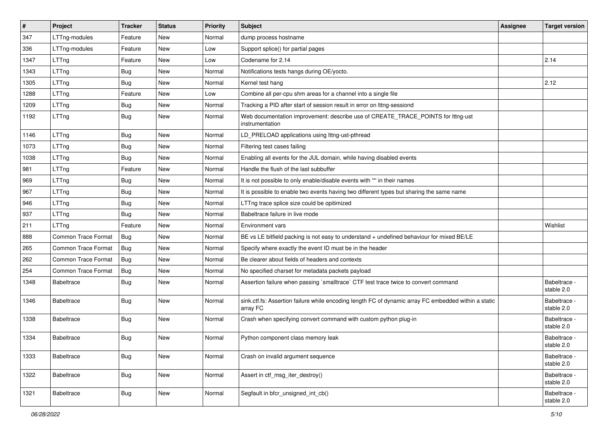| $\vert$ # | Project                    | <b>Tracker</b> | <b>Status</b> | Priority | <b>Subject</b>                                                                                                   | Assignee | <b>Target version</b>      |
|-----------|----------------------------|----------------|---------------|----------|------------------------------------------------------------------------------------------------------------------|----------|----------------------------|
| 347       | LTTng-modules              | Feature        | New           | Normal   | dump process hostname                                                                                            |          |                            |
| 336       | LTTng-modules              | Feature        | <b>New</b>    | Low      | Support splice() for partial pages                                                                               |          |                            |
| 1347      | LTTng                      | Feature        | New           | Low      | Codename for 2.14                                                                                                |          | 2.14                       |
| 1343      | LTTng                      | Bug            | New           | Normal   | Notifications tests hangs during OE/yocto.                                                                       |          |                            |
| 1305      | LTTng                      | Bug            | New           | Normal   | Kernel test hang                                                                                                 |          | 2.12                       |
| 1288      | LTTng                      | Feature        | New           | Low      | Combine all per-cpu shm areas for a channel into a single file                                                   |          |                            |
| 1209      | LTTng                      | <b>Bug</b>     | New           | Normal   | Tracking a PID after start of session result in error on lttng-sessiond                                          |          |                            |
| 1192      | LTTng                      | Bug            | New           | Normal   | Web documentation improvement: describe use of CREATE_TRACE_POINTS for lttng-ust<br>instrumentation              |          |                            |
| 1146      | LTTng                      | <b>Bug</b>     | New           | Normal   | LD_PRELOAD applications using lttng-ust-pthread                                                                  |          |                            |
| 1073      | LTTng                      | Bug            | New           | Normal   | Filtering test cases failing                                                                                     |          |                            |
| 1038      | LTTng                      | Bug            | New           | Normal   | Enabling all events for the JUL domain, while having disabled events                                             |          |                            |
| 981       | LTTng                      | Feature        | New           | Normal   | Handle the flush of the last subbuffer                                                                           |          |                            |
| 969       | LTTng                      | Bug            | New           | Normal   | It is not possible to only enable/disable events with "*' in their names                                         |          |                            |
| 967       | LTTng                      | <b>Bug</b>     | <b>New</b>    | Normal   | It is possible to enable two events having two different types but sharing the same name                         |          |                            |
| 946       | LTTng                      | <b>Bug</b>     | New           | Normal   | LTTng trace splice size could be opitimized                                                                      |          |                            |
| 937       | LTTng                      | Bug            | New           | Normal   | Babeltrace failure in live mode                                                                                  |          |                            |
| 211       | LTTng                      | Feature        | New           | Normal   | <b>Environment vars</b>                                                                                          |          | Wishlist                   |
| 888       | <b>Common Trace Format</b> | Bug            | New           | Normal   | BE vs LE bitfield packing is not easy to understand + undefined behaviour for mixed BE/LE                        |          |                            |
| 265       | <b>Common Trace Format</b> | Bug            | New           | Normal   | Specify where exactly the event ID must be in the header                                                         |          |                            |
| 262       | <b>Common Trace Format</b> | Bug            | New           | Normal   | Be clearer about fields of headers and contexts                                                                  |          |                            |
| 254       | <b>Common Trace Format</b> | <b>Bug</b>     | New           | Normal   | No specified charset for metadata packets payload                                                                |          |                            |
| 1348      | <b>Babeltrace</b>          | Bug            | New           | Normal   | Assertion failure when passing `smalltrace` CTF test trace twice to convert command                              |          | Babeltrace -<br>stable 2.0 |
| 1346      | <b>Babeltrace</b>          | Bug            | New           | Normal   | sink.ctf.fs: Assertion failure while encoding length FC of dynamic array FC embedded within a static<br>array FC |          | Babeltrace -<br>stable 2.0 |
| 1338      | <b>Babeltrace</b>          | <b>Bug</b>     | New           | Normal   | Crash when specifying convert command with custom python plug-in                                                 |          | Babeltrace -<br>stable 2.0 |
| 1334      | <b>Babeltrace</b>          | <b>Bug</b>     | <b>New</b>    | Normal   | Python component class memory leak                                                                               |          | Babeltrace -<br>stable 2.0 |
| 1333      | Babeltrace                 | <b>Bug</b>     | New           | Normal   | Crash on invalid argument sequence                                                                               |          | Babeltrace -<br>stable 2.0 |
| 1322      | Babeltrace                 | <b>Bug</b>     | New           | Normal   | Assert in ctf_msg_iter_destroy()                                                                                 |          | Babeltrace -<br>stable 2.0 |
| 1321      | Babeltrace                 | <b>Bug</b>     | New           | Normal   | Segfault in bfcr_unsigned_int_cb()                                                                               |          | Babeltrace -<br>stable 2.0 |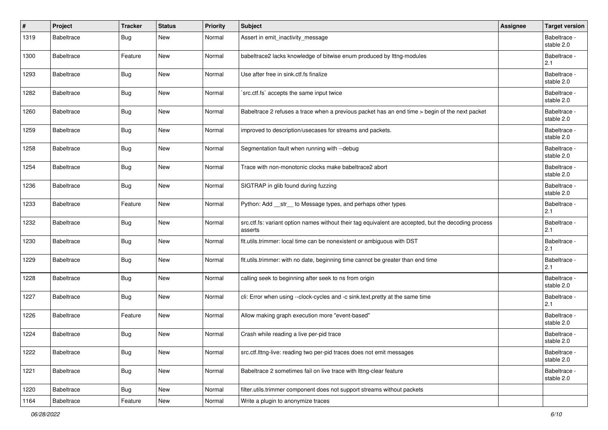| #    | Project           | <b>Tracker</b> | <b>Status</b> | <b>Priority</b> | <b>Subject</b>                                                                                                  | Assignee | <b>Target version</b>      |
|------|-------------------|----------------|---------------|-----------------|-----------------------------------------------------------------------------------------------------------------|----------|----------------------------|
| 1319 | <b>Babeltrace</b> | Bug            | New           | Normal          | Assert in emit_inactivity_message                                                                               |          | Babeltrace -<br>stable 2.0 |
| 1300 | <b>Babeltrace</b> | Feature        | New           | Normal          | babeltrace2 lacks knowledge of bitwise enum produced by lttng-modules                                           |          | Babeltrace -<br>2.1        |
| 1293 | Babeltrace        | <b>Bug</b>     | New           | Normal          | Use after free in sink.ctf.fs finalize                                                                          |          | Babeltrace -<br>stable 2.0 |
| 1282 | <b>Babeltrace</b> | Bug            | New           | Normal          | `src.ctf.fs` accepts the same input twice                                                                       |          | Babeltrace -<br>stable 2.0 |
| 1260 | Babeltrace        | Bug            | New           | Normal          | Babeltrace 2 refuses a trace when a previous packet has an end time > begin of the next packet                  |          | Babeltrace -<br>stable 2.0 |
| 1259 | <b>Babeltrace</b> | Bug            | New           | Normal          | improved to description/usecases for streams and packets.                                                       |          | Babeltrace -<br>stable 2.0 |
| 1258 | <b>Babeltrace</b> | <b>Bug</b>     | New           | Normal          | Segmentation fault when running with --debug                                                                    |          | Babeltrace -<br>stable 2.0 |
| 1254 | <b>Babeltrace</b> | Bug            | New           | Normal          | Trace with non-monotonic clocks make babeltrace2 abort                                                          |          | Babeltrace -<br>stable 2.0 |
| 1236 | <b>Babeltrace</b> | Bug            | New           | Normal          | SIGTRAP in glib found during fuzzing                                                                            |          | Babeltrace -<br>stable 2.0 |
| 1233 | <b>Babeltrace</b> | Feature        | New           | Normal          | Python: Add __str__ to Message types, and perhaps other types                                                   |          | Babeltrace -<br>2.1        |
| 1232 | Babeltrace        | Bug            | New           | Normal          | src.ctf.fs: variant option names without their tag equivalent are accepted, but the decoding process<br>asserts |          | Babeltrace -<br>2.1        |
| 1230 | Babeltrace        | Bug            | New           | Normal          | flt.utils.trimmer: local time can be nonexistent or ambiguous with DST                                          |          | Babeltrace -<br>2.1        |
| 1229 | <b>Babeltrace</b> | Bug            | New           | Normal          | flt.utils.trimmer: with no date, beginning time cannot be greater than end time                                 |          | Babeltrace -<br>2.1        |
| 1228 | Babeltrace        | <b>Bug</b>     | New           | Normal          | calling seek to beginning after seek to ns from origin                                                          |          | Babeltrace -<br>stable 2.0 |
| 1227 | <b>Babeltrace</b> | Bug            | New           | Normal          | cli: Error when using --clock-cycles and -c sink.text.pretty at the same time                                   |          | Babeltrace -<br>2.1        |
| 1226 | <b>Babeltrace</b> | Feature        | New           | Normal          | Allow making graph execution more "event-based"                                                                 |          | Babeltrace -<br>stable 2.0 |
| 1224 | Babeltrace        | Bug            | New           | Normal          | Crash while reading a live per-pid trace                                                                        |          | Babeltrace -<br>stable 2.0 |
| 1222 | Babeltrace        | <b>Bug</b>     | New           | Normal          | src.ctf.lttng-live: reading two per-pid traces does not emit messages                                           |          | Babeltrace -<br>stable 2.0 |
| 1221 | Babeltrace        | Bug            | New           | Normal          | Babeltrace 2 sometimes fail on live trace with Ittng-clear feature                                              |          | Babeltrace -<br>stable 2.0 |
| 1220 | Babeltrace        | Bug            | New           | Normal          | filter.utils.trimmer component does not support streams without packets                                         |          |                            |
| 1164 | Babeltrace        | Feature        | New           | Normal          | Write a plugin to anonymize traces                                                                              |          |                            |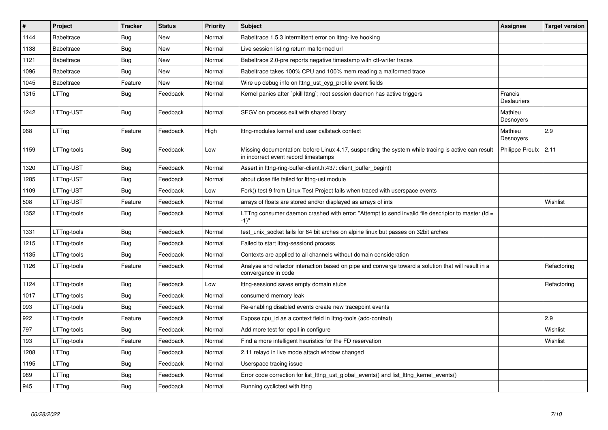| $\#$ | Project           | <b>Tracker</b> | <b>Status</b> | <b>Priority</b> | <b>Subject</b>                                                                                                                             | Assignee                      | <b>Target version</b> |
|------|-------------------|----------------|---------------|-----------------|--------------------------------------------------------------------------------------------------------------------------------------------|-------------------------------|-----------------------|
| 1144 | <b>Babeltrace</b> | <b>Bug</b>     | New           | Normal          | Babeltrace 1.5.3 intermittent error on Ittng-live hooking                                                                                  |                               |                       |
| 1138 | <b>Babeltrace</b> | Bug            | New           | Normal          | Live session listing return malformed url                                                                                                  |                               |                       |
| 1121 | <b>Babeltrace</b> | Bug            | New           | Normal          | Babeltrace 2.0-pre reports negative timestamp with ctf-writer traces                                                                       |                               |                       |
| 1096 | <b>Babeltrace</b> | Bug            | New           | Normal          | Babeltrace takes 100% CPU and 100% mem reading a malformed trace                                                                           |                               |                       |
| 1045 | <b>Babeltrace</b> | Feature        | New           | Normal          | Wire up debug info on lttng_ust_cyg_profile event fields                                                                                   |                               |                       |
| 1315 | LTTng             | Bug            | Feedback      | Normal          | Kernel panics after `pkill lttng`; root session daemon has active triggers                                                                 | Francis<br><b>Deslauriers</b> |                       |
| 1242 | LTTng-UST         | Bug            | Feedback      | Normal          | SEGV on process exit with shared library                                                                                                   | Mathieu<br>Desnoyers          |                       |
| 968  | LTTng             | Feature        | Feedback      | High            | Ittng-modules kernel and user callstack context                                                                                            | Mathieu<br>Desnoyers          | 2.9                   |
| 1159 | LTTng-tools       | <b>Bug</b>     | Feedback      | Low             | Missing documentation: before Linux 4.17, suspending the system while tracing is active can result<br>in incorrect event record timestamps | Philippe Proulx               | 2.11                  |
| 1320 | LTTng-UST         | <b>Bug</b>     | Feedback      | Normal          | Assert in Ittng-ring-buffer-client.h:437: client buffer begin()                                                                            |                               |                       |
| 1285 | LTTng-UST         | <b>Bug</b>     | Feedback      | Normal          | about close file failed for lttng-ust module                                                                                               |                               |                       |
| 1109 | LTTng-UST         | Bug            | Feedback      | Low             | Fork() test 9 from Linux Test Project fails when traced with userspace events                                                              |                               |                       |
| 508  | LTTng-UST         | Feature        | Feedback      | Normal          | arrays of floats are stored and/or displayed as arrays of ints                                                                             |                               | Wishlist              |
| 1352 | LTTng-tools       | <b>Bug</b>     | Feedback      | Normal          | LTTng consumer daemon crashed with error: "Attempt to send invalid file descriptor to master (fd =<br>$-1)$ "                              |                               |                       |
| 1331 | LTTng-tools       | Bug            | Feedback      | Normal          | test unix socket fails for 64 bit arches on alpine linux but passes on 32bit arches                                                        |                               |                       |
| 1215 | LTTng-tools       | <b>Bug</b>     | Feedback      | Normal          | Failed to start lttng-sessiond process                                                                                                     |                               |                       |
| 1135 | LTTng-tools       | Bug            | Feedback      | Normal          | Contexts are applied to all channels without domain consideration                                                                          |                               |                       |
| 1126 | LTTng-tools       | Feature        | Feedback      | Normal          | Analyse and refactor interaction based on pipe and converge toward a solution that will result in a<br>convergence in code                 |                               | Refactoring           |
| 1124 | LTTng-tools       | Bug            | Feedback      | Low             | Ittng-sessiond saves empty domain stubs                                                                                                    |                               | Refactoring           |
| 1017 | LTTng-tools       | <b>Bug</b>     | Feedback      | Normal          | consumerd memory leak                                                                                                                      |                               |                       |
| 993  | LTTng-tools       | <b>Bug</b>     | Feedback      | Normal          | Re-enabling disabled events create new tracepoint events                                                                                   |                               |                       |
| 922  | LTTng-tools       | Feature        | Feedback      | Normal          | Expose cpu id as a context field in lttng-tools (add-context)                                                                              |                               | 2.9                   |
| 797  | LTTng-tools       | Bug            | Feedback      | Normal          | Add more test for epoll in configure                                                                                                       |                               | Wishlist              |
| 193  | LTTng-tools       | Feature        | Feedback      | Normal          | Find a more intelligent heuristics for the FD reservation                                                                                  |                               | Wishlist              |
| 1208 | LTTng             | Bug            | Feedback      | Normal          | 2.11 relayd in live mode attach window changed                                                                                             |                               |                       |
| 1195 | LTTng             | Bug            | Feedback      | Normal          | Userspace tracing issue                                                                                                                    |                               |                       |
| 989  | LTTng             | Bug            | Feedback      | Normal          | Error code correction for list Ittng ust global events() and list Ittng kernel events()                                                    |                               |                       |
| 945  | LTTng             | Bug            | Feedback      | Normal          | Running cyclictest with Ittng                                                                                                              |                               |                       |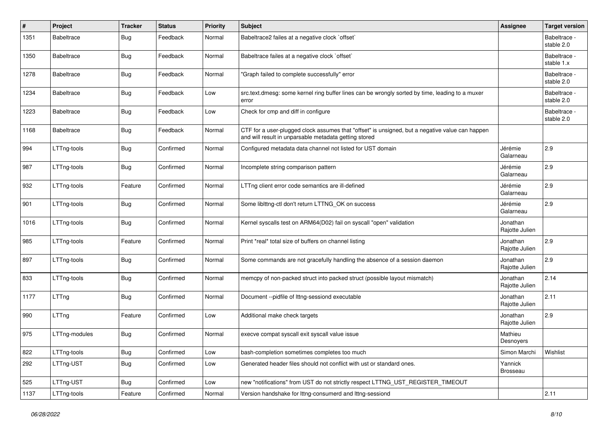| $\#$ | Project           | <b>Tracker</b> | <b>Status</b> | Priority | <b>Subject</b>                                                                                                                                           | <b>Assignee</b>            | <b>Target version</b>      |
|------|-------------------|----------------|---------------|----------|----------------------------------------------------------------------------------------------------------------------------------------------------------|----------------------------|----------------------------|
| 1351 | <b>Babeltrace</b> | <b>Bug</b>     | Feedback      | Normal   | Babeltrace2 failes at a negative clock `offset`                                                                                                          |                            | Babeltrace -<br>stable 2.0 |
| 1350 | <b>Babeltrace</b> | <b>Bug</b>     | Feedback      | Normal   | Babeltrace failes at a negative clock `offset`                                                                                                           |                            | Babeltrace -<br>stable 1.x |
| 1278 | <b>Babeltrace</b> | <b>Bug</b>     | Feedback      | Normal   | "Graph failed to complete successfully" error                                                                                                            |                            | Babeltrace -<br>stable 2.0 |
| 1234 | <b>Babeltrace</b> | <b>Bug</b>     | Feedback      | Low      | src.text.dmesg: some kernel ring buffer lines can be wrongly sorted by time, leading to a muxer<br>error                                                 |                            | Babeltrace -<br>stable 2.0 |
| 1223 | <b>Babeltrace</b> | Bug            | Feedback      | Low      | Check for cmp and diff in configure                                                                                                                      |                            | Babeltrace -<br>stable 2.0 |
| 1168 | <b>Babeltrace</b> | Bug            | Feedback      | Normal   | CTF for a user-plugged clock assumes that "offset" is unsigned, but a negative value can happen<br>and will result in unparsable metadata getting stored |                            |                            |
| 994  | LTTng-tools       | Bug            | Confirmed     | Normal   | Configured metadata data channel not listed for UST domain                                                                                               | Jérémie<br>Galarneau       | 2.9                        |
| 987  | LTTng-tools       | <b>Bug</b>     | Confirmed     | Normal   | Incomplete string comparison pattern                                                                                                                     | Jérémie<br>Galarneau       | 2.9                        |
| 932  | LTTng-tools       | Feature        | Confirmed     | Normal   | LTTng client error code semantics are ill-defined                                                                                                        | Jérémie<br>Galarneau       | 2.9                        |
| 901  | LTTng-tools       | <b>Bug</b>     | Confirmed     | Normal   | Some liblttng-ctl don't return LTTNG_OK on success                                                                                                       | Jérémie<br>Galarneau       | 2.9                        |
| 1016 | LTTng-tools       | <b>Bug</b>     | Confirmed     | Normal   | Kernel syscalls test on ARM64(D02) fail on syscall "open" validation                                                                                     | Jonathan<br>Rajotte Julien |                            |
| 985  | LTTng-tools       | Feature        | Confirmed     | Normal   | Print *real* total size of buffers on channel listing                                                                                                    | Jonathan<br>Rajotte Julien | 2.9                        |
| 897  | LTTng-tools       | Bug            | Confirmed     | Normal   | Some commands are not gracefully handling the absence of a session daemon                                                                                | Jonathan<br>Rajotte Julien | 2.9                        |
| 833  | LTTng-tools       | <b>Bug</b>     | Confirmed     | Normal   | memcpy of non-packed struct into packed struct (possible layout mismatch)                                                                                | Jonathan<br>Rajotte Julien | 2.14                       |
| 1177 | LTTng             | <b>Bug</b>     | Confirmed     | Normal   | Document --pidfile of lttng-sessiond executable                                                                                                          | Jonathan<br>Rajotte Julien | 2.11                       |
| 990  | LTTng             | Feature        | Confirmed     | Low      | Additional make check targets                                                                                                                            | Jonathan<br>Rajotte Julien | 2.9                        |
| 975  | LTTng-modules     | Bug            | Confirmed     | Normal   | execve compat syscall exit syscall value issue                                                                                                           | Mathieu<br>Desnoyers       |                            |
| 822  | LTTng-tools       | <b>Bug</b>     | Confirmed     | Low      | bash-completion sometimes completes too much                                                                                                             | Simon Marchi               | Wishlist                   |
| 292  | LTTng-UST         | <b>Bug</b>     | Confirmed     | Low      | Generated header files should not conflict with ust or standard ones.                                                                                    | Yannick<br>Brosseau        |                            |
| 525  | LTTng-UST         | Bug            | Confirmed     | Low      | new "notifications" from UST do not strictly respect LTTNG_UST_REGISTER_TIMEOUT                                                                          |                            |                            |
| 1137 | LTTng-tools       | Feature        | Confirmed     | Normal   | Version handshake for lttng-consumerd and lttng-sessiond                                                                                                 |                            | 2.11                       |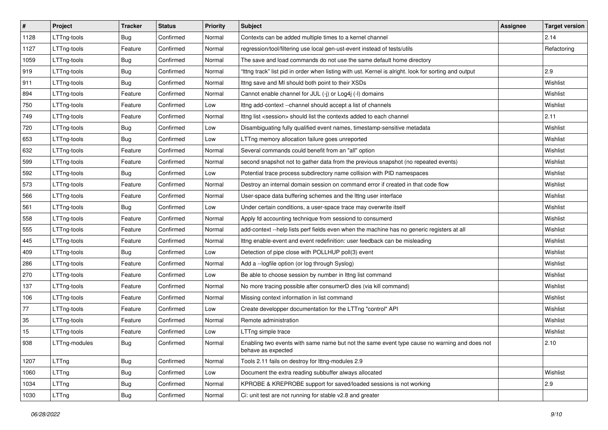| $\sharp$ | Project       | <b>Tracker</b> | <b>Status</b> | Priority | <b>Subject</b>                                                                                                     | <b>Assignee</b> | <b>Target version</b> |
|----------|---------------|----------------|---------------|----------|--------------------------------------------------------------------------------------------------------------------|-----------------|-----------------------|
| 1128     | LTTng-tools   | <b>Bug</b>     | Confirmed     | Normal   | Contexts can be added multiple times to a kernel channel                                                           |                 | 2.14                  |
| 1127     | LTTng-tools   | Feature        | Confirmed     | Normal   | regression/tool/filtering use local gen-ust-event instead of tests/utils                                           |                 | Refactoring           |
| 1059     | LTTng-tools   | <b>Bug</b>     | Confirmed     | Normal   | The save and load commands do not use the same default home directory                                              |                 |                       |
| 919      | LTTng-tools   | <b>Bug</b>     | Confirmed     | Normal   | "Ittng track" list pid in order when listing with ust. Kernel is alright. look for sorting and output              |                 | 2.9                   |
| 911      | LTTng-tools   | <b>Bug</b>     | Confirmed     | Normal   | Ittng save and MI should both point to their XSDs                                                                  |                 | Wishlist              |
| 894      | LTTng-tools   | Feature        | Confirmed     | Normal   | Cannot enable channel for JUL (-j) or Log4j (-l) domains                                                           |                 | Wishlist              |
| 750      | LTTng-tools   | Feature        | Confirmed     | Low      | Ittng add-context --channel should accept a list of channels                                                       |                 | Wishlist              |
| 749      | LTTng-tools   | Feature        | Confirmed     | Normal   | Ittng list <session> should list the contexts added to each channel</session>                                      |                 | 2.11                  |
| 720      | LTTng-tools   | <b>Bug</b>     | Confirmed     | Low      | Disambiguating fully qualified event names, timestamp-sensitive metadata                                           |                 | Wishlist              |
| 653      | LTTng-tools   | <b>Bug</b>     | Confirmed     | Low      | LTTng memory allocation failure goes unreported                                                                    |                 | Wishlist              |
| 632      | LTTng-tools   | Feature        | Confirmed     | Normal   | Several commands could benefit from an "all" option                                                                |                 | Wishlist              |
| 599      | LTTng-tools   | Feature        | Confirmed     | Normal   | second snapshot not to gather data from the previous snapshot (no repeated events)                                 |                 | Wishlist              |
| 592      | LTTng-tools   | <b>Bug</b>     | Confirmed     | Low      | Potential trace process subdirectory name collision with PID namespaces                                            |                 | Wishlist              |
| 573      | LTTng-tools   | Feature        | Confirmed     | Normal   | Destroy an internal domain session on command error if created in that code flow                                   |                 | Wishlist              |
| 566      | LTTng-tools   | Feature        | Confirmed     | Normal   | User-space data buffering schemes and the lttng user interface                                                     |                 | Wishlist              |
| 561      | LTTng-tools   | Bug            | Confirmed     | Low      | Under certain conditions, a user-space trace may overwrite itself                                                  |                 | Wishlist              |
| 558      | LTTng-tools   | Feature        | Confirmed     | Normal   | Apply fd accounting technique from sessiond to consumerd                                                           |                 | Wishlist              |
| 555      | LTTng-tools   | Feature        | Confirmed     | Normal   | add-context --help lists perf fields even when the machine has no generic registers at all                         |                 | Wishlist              |
| 445      | LTTng-tools   | Feature        | Confirmed     | Normal   | Ittng enable-event and event redefinition: user feedback can be misleading                                         |                 | Wishlist              |
| 409      | LTTng-tools   | Bug            | Confirmed     | Low      | Detection of pipe close with POLLHUP poll(3) event                                                                 |                 | Wishlist              |
| 286      | LTTng-tools   | Feature        | Confirmed     | Normal   | Add a -- logfile option (or log through Syslog)                                                                    |                 | Wishlist              |
| 270      | LTTng-tools   | Feature        | Confirmed     | Low      | Be able to choose session by number in Ittng list command                                                          |                 | Wishlist              |
| 137      | LTTng-tools   | Feature        | Confirmed     | Normal   | No more tracing possible after consumerD dies (via kill command)                                                   |                 | Wishlist              |
| 106      | LTTng-tools   | Feature        | Confirmed     | Normal   | Missing context information in list command                                                                        |                 | Wishlist              |
| 77       | LTTng-tools   | Feature        | Confirmed     | Low      | Create developper documentation for the LTTng "control" API                                                        |                 | Wishlist              |
| 35       | LTTng-tools   | Feature        | Confirmed     | Normal   | Remote administration                                                                                              |                 | Wishlist              |
| 15       | LTTng-tools   | Feature        | Confirmed     | Low      | LTTng simple trace                                                                                                 |                 | Wishlist              |
| 938      | LTTng-modules | <b>Bug</b>     | Confirmed     | Normal   | Enabling two events with same name but not the same event type cause no warning and does not<br>behave as expected |                 | 2.10                  |
| 1207     | LTTng         | <b>Bug</b>     | Confirmed     | Normal   | Tools 2.11 fails on destroy for lttng-modules 2.9                                                                  |                 |                       |
| 1060     | LTTng         | <b>Bug</b>     | Confirmed     | Low      | Document the extra reading subbuffer always allocated                                                              |                 | Wishlist              |
| 1034     | LTTng         | <b>Bug</b>     | Confirmed     | Normal   | KPROBE & KREPROBE support for saved/loaded sessions is not working                                                 |                 | 2.9                   |
| 1030     | LTTng         | <b>Bug</b>     | Confirmed     | Normal   | Ci: unit test are not running for stable v2.8 and greater                                                          |                 |                       |